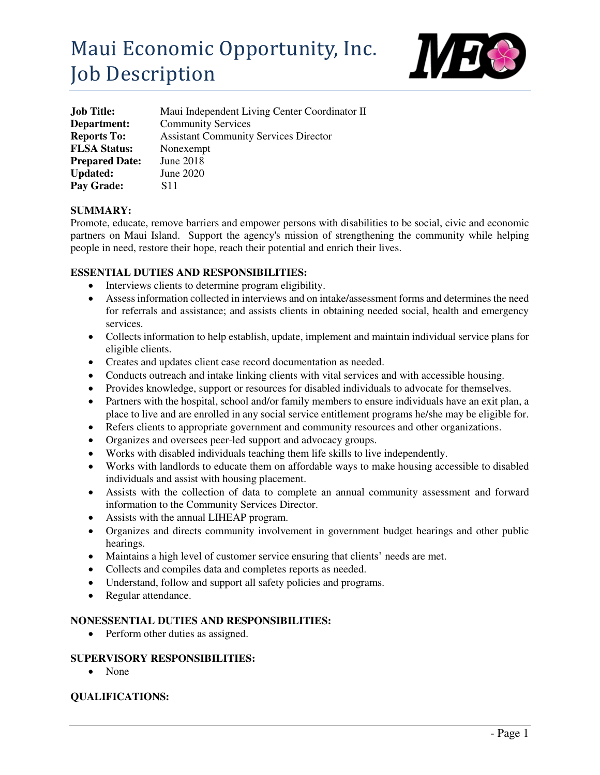# Maui Economic Opportunity, Inc. Job Description



| <b>Job Title:</b>     | Maui Independent Living Center Coordinator II |
|-----------------------|-----------------------------------------------|
| Department:           | <b>Community Services</b>                     |
| <b>Reports To:</b>    | <b>Assistant Community Services Director</b>  |
| <b>FLSA Status:</b>   | Nonexempt                                     |
| <b>Prepared Date:</b> | June 2018                                     |
| <b>Updated:</b>       | June 2020                                     |
| Pay Grade:            | S <sub>11</sub>                               |

#### **SUMMARY:**

Promote, educate, remove barriers and empower persons with disabilities to be social, civic and economic partners on Maui Island. Support the agency's mission of strengthening the community while helping people in need, restore their hope, reach their potential and enrich their lives.

#### **ESSENTIAL DUTIES AND RESPONSIBILITIES:**

- Interviews clients to determine program eligibility.
- Assess information collected in interviews and on intake/assessment forms and determines the need for referrals and assistance; and assists clients in obtaining needed social, health and emergency services.
- Collects information to help establish, update, implement and maintain individual service plans for eligible clients.
- Creates and updates client case record documentation as needed.
- Conducts outreach and intake linking clients with vital services and with accessible housing.
- Provides knowledge, support or resources for disabled individuals to advocate for themselves.
- Partners with the hospital, school and/or family members to ensure individuals have an exit plan, a place to live and are enrolled in any social service entitlement programs he/she may be eligible for.
- Refers clients to appropriate government and community resources and other organizations.
- Organizes and oversees peer-led support and advocacy groups.
- Works with disabled individuals teaching them life skills to live independently.
- Works with landlords to educate them on affordable ways to make housing accessible to disabled individuals and assist with housing placement.
- Assists with the collection of data to complete an annual community assessment and forward information to the Community Services Director.
- Assists with the annual LIHEAP program.
- Organizes and directs community involvement in government budget hearings and other public hearings.
- Maintains a high level of customer service ensuring that clients' needs are met.
- Collects and compiles data and completes reports as needed.
- Understand, follow and support all safety policies and programs.
- Regular attendance.

#### **NONESSENTIAL DUTIES AND RESPONSIBILITIES:**

• Perform other duties as assigned.

#### **SUPERVISORY RESPONSIBILITIES:**

• None

## **QUALIFICATIONS:**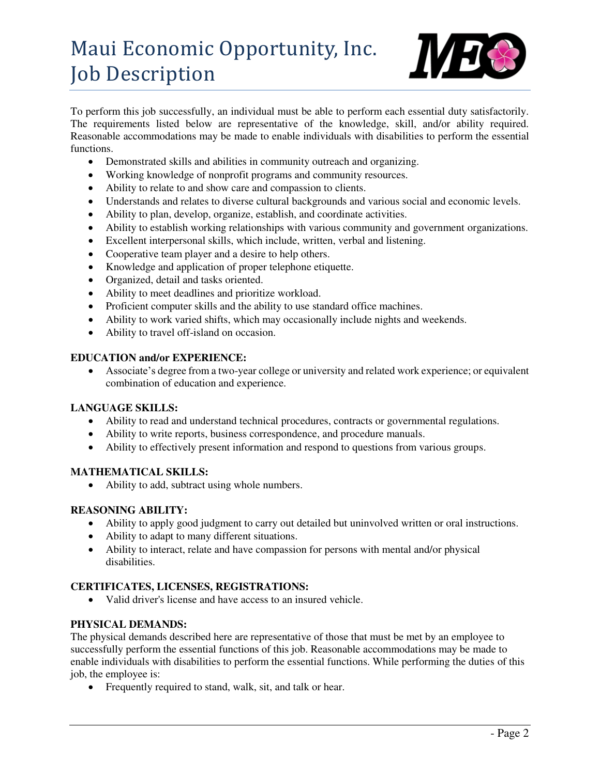## Maui Economic Opportunity, Inc. Job Description



To perform this job successfully, an individual must be able to perform each essential duty satisfactorily. The requirements listed below are representative of the knowledge, skill, and/or ability required. Reasonable accommodations may be made to enable individuals with disabilities to perform the essential functions.

- Demonstrated skills and abilities in community outreach and organizing.
- Working knowledge of nonprofit programs and community resources.
- Ability to relate to and show care and compassion to clients.
- Understands and relates to diverse cultural backgrounds and various social and economic levels.
- Ability to plan, develop, organize, establish, and coordinate activities.
- Ability to establish working relationships with various community and government organizations.
- Excellent interpersonal skills, which include, written, verbal and listening.
- Cooperative team player and a desire to help others.
- Knowledge and application of proper telephone etiquette.
- Organized, detail and tasks oriented.
- Ability to meet deadlines and prioritize workload.
- Proficient computer skills and the ability to use standard office machines.
- Ability to work varied shifts, which may occasionally include nights and weekends.
- Ability to travel off-island on occasion.

## **EDUCATION and/or EXPERIENCE:**

 Associate's degree from a two-year college or university and related work experience; or equivalent combination of education and experience.

#### **LANGUAGE SKILLS:**

- Ability to read and understand technical procedures, contracts or governmental regulations.
- Ability to write reports, business correspondence, and procedure manuals.
- Ability to effectively present information and respond to questions from various groups.

## **MATHEMATICAL SKILLS:**

• Ability to add, subtract using whole numbers.

## **REASONING ABILITY:**

- Ability to apply good judgment to carry out detailed but uninvolved written or oral instructions.
- Ability to adapt to many different situations.
- Ability to interact, relate and have compassion for persons with mental and/or physical disabilities.

## **CERTIFICATES, LICENSES, REGISTRATIONS:**

Valid driver's license and have access to an insured vehicle.

## **PHYSICAL DEMANDS:**

The physical demands described here are representative of those that must be met by an employee to successfully perform the essential functions of this job. Reasonable accommodations may be made to enable individuals with disabilities to perform the essential functions. While performing the duties of this job, the employee is:

• Frequently required to stand, walk, sit, and talk or hear.